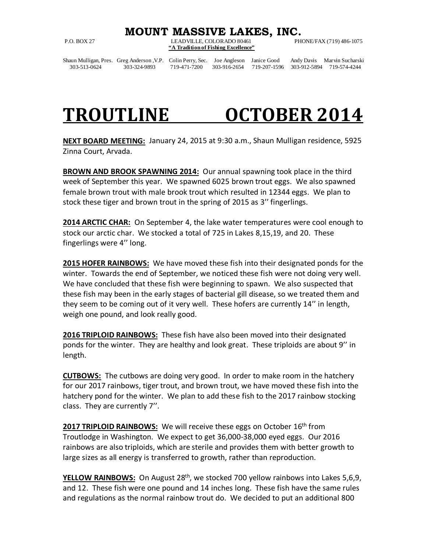## **MOUNT MASSIVE LAKES, INC.**<br>LEADVILLE, COLORADO 80461 PHONE/FAX (719) 486-1075

P.O. BOX 27 LEADVILLE, COLORADO 80461 **"A Tradition of Fishing Excellence"**

Shaun Mulligan, Pres. Greg Anderson , V.P. Colin Perry, Sec. Joe Angleson Janice Good Andy Davis Marvin Sucharski<br>303-513-0624 303-324-9893 719-471-7200 303-916-2654 719-207-1596 303-912-5894 719-574-4244

303-513-0624 303-324-9893 719-471-7200 303-916-2654 719-207-1596 303-912-5894 719-574-4244

## **TROUTLINE OCTOBER 2014**

**NEXT BOARD MEETING:** January 24, 2015 at 9:30 a.m., Shaun Mulligan residence, 5925 Zinna Court, Arvada.

**BROWN AND BROOK SPAWNING 2014:** Our annual spawning took place in the third week of September this year. We spawned 6025 brown trout eggs. We also spawned female brown trout with male brook trout which resulted in 12344 eggs. We plan to stock these tiger and brown trout in the spring of 2015 as 3'' fingerlings.

**2014 ARCTIC CHAR:** On September 4, the lake water temperatures were cool enough to stock our arctic char. We stocked a total of 725 in Lakes 8,15,19, and 20. These fingerlings were 4'' long.

**2015 HOFER RAINBOWS:** We have moved these fish into their designated ponds for the winter. Towards the end of September, we noticed these fish were not doing very well. We have concluded that these fish were beginning to spawn. We also suspected that these fish may been in the early stages of bacterial gill disease, so we treated them and they seem to be coming out of it very well. These hofers are currently 14'' in length, weigh one pound, and look really good.

**2016 TRIPLOID RAINBOWS:** These fish have also been moved into their designated ponds for the winter. They are healthy and look great. These triploids are about 9'' in length.

**CUTBOWS:** The cutbows are doing very good. In order to make room in the hatchery for our 2017 rainbows, tiger trout, and brown trout, we have moved these fish into the hatchery pond for the winter. We plan to add these fish to the 2017 rainbow stocking class. They are currently 7''.

2017 TRIPLOID RAINBOWS: We will receive these eggs on October 16<sup>th</sup> from Troutlodge in Washington. We expect to get 36,000-38,000 eyed eggs. Our 2016 rainbows are also triploids, which are sterile and provides them with better growth to large sizes as all energy is transferred to growth, rather than reproduction.

**YELLOW RAINBOWS:** On August 28<sup>th</sup>, we stocked 700 yellow rainbows into Lakes 5,6,9, and 12. These fish were one pound and 14 inches long. These fish have the same rules and regulations as the normal rainbow trout do. We decided to put an additional 800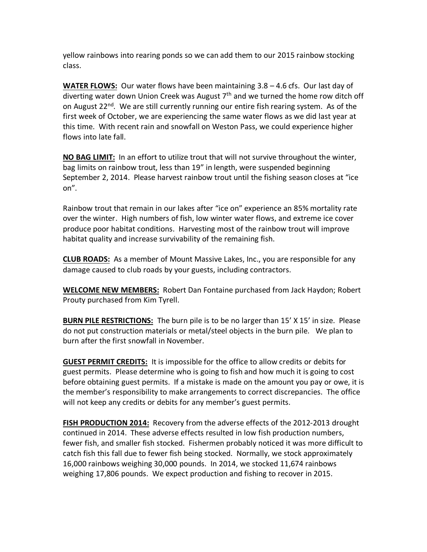yellow rainbows into rearing ponds so we can add them to our 2015 rainbow stocking class.

**WATER FLOWS:** Our water flows have been maintaining 3.8 – 4.6 cfs. Our last day of diverting water down Union Creek was August  $7<sup>th</sup>$  and we turned the home row ditch off on August  $22^{nd}$ . We are still currently running our entire fish rearing system. As of the first week of October, we are experiencing the same water flows as we did last year at this time. With recent rain and snowfall on Weston Pass, we could experience higher flows into late fall.

**NO BAG LIMIT:** In an effort to utilize trout that will not survive throughout the winter, bag limits on rainbow trout, less than 19" in length, were suspended beginning September 2, 2014. Please harvest rainbow trout until the fishing season closes at "ice on".

Rainbow trout that remain in our lakes after "ice on" experience an 85% mortality rate over the winter. High numbers of fish, low winter water flows, and extreme ice cover produce poor habitat conditions. Harvesting most of the rainbow trout will improve habitat quality and increase survivability of the remaining fish.

**CLUB ROADS:** As a member of Mount Massive Lakes, Inc., you are responsible for any damage caused to club roads by your guests, including contractors.

**WELCOME NEW MEMBERS:** Robert Dan Fontaine purchased from Jack Haydon; Robert Prouty purchased from Kim Tyrell.

**BURN PILE RESTRICTIONS:** The burn pile is to be no larger than 15' X 15' in size. Please do not put construction materials or metal/steel objects in the burn pile. We plan to burn after the first snowfall in November.

**GUEST PERMIT CREDITS:** It is impossible for the office to allow credits or debits for guest permits. Please determine who is going to fish and how much it is going to cost before obtaining guest permits. If a mistake is made on the amount you pay or owe, it is the member's responsibility to make arrangements to correct discrepancies. The office will not keep any credits or debits for any member's guest permits.

**FISH PRODUCTION 2014:** Recovery from the adverse effects of the 2012-2013 drought continued in 2014. These adverse effects resulted in low fish production numbers, fewer fish, and smaller fish stocked. Fishermen probably noticed it was more difficult to catch fish this fall due to fewer fish being stocked. Normally, we stock approximately 16,000 rainbows weighing 30,000 pounds. In 2014, we stocked 11,674 rainbows weighing 17,806 pounds. We expect production and fishing to recover in 2015.